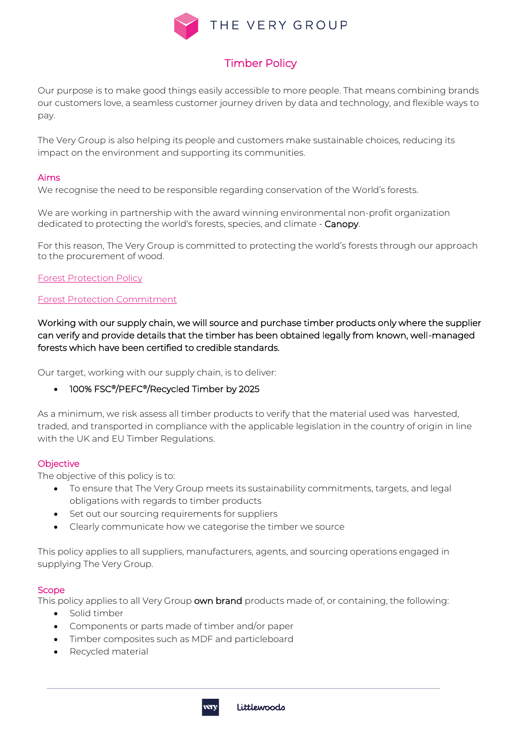

# Timber Policy

Our purpose is to make good things easily accessible to more people. That means combining brands our customers love, a seamless customer journey driven by data and technology, and flexible ways to pay.

The Very Group is also helping its people and customers make sustainable choices, reducing its impact on the environment and supporting its communities.

## Aims

We recognise the need to be responsible regarding conservation of the World's forests.

We are working in partnership with the award winning environmental non-profit organization dedicated to protecting the world's forests, species, and climate - Canopy.

For this reason, The Very Group is committed to protecting the world's forests through our approach to the procurement of wood.

[Forest Protection Policy](https://www.theverygroup.com/files/Sustainability/Policies/TVG-Forest-protection-policy.pdf)

## [Forest Protection Commitment](https://www.theverygroup.com/files/Sustainability/Policies/TheVeryGroup_CanopyStyle_PaperPackagingPolicy_October2020.pdf)

Working with our supply chain, we will source and purchase timber products only where the supplier can verify and provide details that the timber has been obtained legally from known, well-managed forests which have been certified to credible standards.

Our target, working with our supply chain, is to deliver:

• 100% FSC®/PEFC®/Recycled Timber by 2025

As a minimum, we risk assess all timber products to verify that the material used was harvested, traded, and transported in compliance with the applicable legislation in the country of origin in line with the UK and EU Timber Regulations.

#### **Objective**

The objective of this policy is to:

- To ensure that The Very Group meets its sustainability commitments, targets, and legal obligations with regards to timber products
- Set out our sourcing requirements for suppliers
- Clearly communicate how we categorise the timber we source

This policy applies to all suppliers, manufacturers, agents, and sourcing operations engaged in supplying The Very Group.

#### **Scope**

This policy applies to all Very Group own brand products made of, or containing, the following:

- Solid timber
- Components or parts made of timber and/or paper
- Timber composites such as MDF and particleboard
- Recycled material

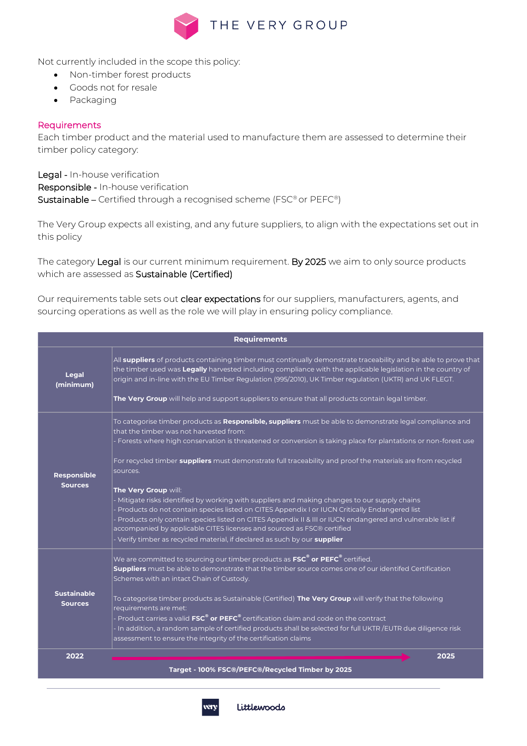

Not currently included in the scope this policy:

- Non-timber forest products
- Goods not for resale
- Packaging

### **Requirements**

Each timber product and the material used to manufacture them are assessed to determine their timber policy category:

Legal - In-house verification Responsible - In-house verification Sustainable – Certified through a recognised scheme (FSC® or PEFC®)

The Very Group expects all existing, and any future suppliers, to align with the expectations set out in this policy

The category Legal is our current minimum requirement. By 2025 we aim to only source products which are assessed as Sustainable (Certified)

Our requirements table sets out clear expectations for our suppliers, manufacturers, agents, and sourcing operations as well as the role we will play in ensuring policy compliance.

| <b>Requirements</b>                  |                                                                                                                                                                                                                                                                                                                                                                                                                                                                                                                                                                                                                                                                                                                                                                                                                                                                                                           |  |  |  |
|--------------------------------------|-----------------------------------------------------------------------------------------------------------------------------------------------------------------------------------------------------------------------------------------------------------------------------------------------------------------------------------------------------------------------------------------------------------------------------------------------------------------------------------------------------------------------------------------------------------------------------------------------------------------------------------------------------------------------------------------------------------------------------------------------------------------------------------------------------------------------------------------------------------------------------------------------------------|--|--|--|
| Legal<br>(minimum)                   | All suppliers of products containing timber must continually demonstrate traceability and be able to prove that<br>the timber used was Legally harvested including compliance with the applicable legislation in the country of<br>origin and in-line with the EU Timber Regulation (995/2010), UK Timber regulation (UKTR) and UK FLEGT.<br>The Very Group will help and support suppliers to ensure that all products contain legal timber.                                                                                                                                                                                                                                                                                                                                                                                                                                                             |  |  |  |
| <b>Responsible</b><br><b>Sources</b> | To categorise timber products as <b>Responsible, suppliers</b> must be able to demonstrate legal compliance and<br>that the timber was not harvested from:<br>- Forests where high conservation is threatened or conversion is taking place for plantations or non-forest use<br>For recycled timber suppliers must demonstrate full traceability and proof the materials are from recycled<br>sources.<br>The Very Group will:<br>- Mitigate risks identified by working with suppliers and making changes to our supply chains<br>- Products do not contain species listed on CITES Appendix I or IUCN Critically Endangered list<br>- Products only contain species listed on CITES Appendix II & III or IUCN endangered and vulnerable list if<br>accompanied by applicable CITES licenses and sourced as FSC® certified<br>- Verify timber as recycled material, if declared as such by our supplier |  |  |  |
| <b>Sustainable</b><br><b>Sources</b> | We are committed to sourcing our timber products as FSC <sup>®</sup> or PEFC <sup>®</sup> certified.<br>Suppliers must be able to demonstrate that the timber source comes one of our identifed Certification<br>Schemes with an intact Chain of Custody.<br>To categorise timber products as Sustainable (Certified) The Very Group will verify that the following<br>requirements are met:<br>- Product carries a valid $\mathsf{FSC}^\circ$ or $\mathsf{PEFC}^\circ$ certification claim and code on the contract<br>- In addition, a random sample of certified products shall be selected for full UKTR /EUTR due diligence risk<br>assessment to ensure the integrity of the certification claims                                                                                                                                                                                                   |  |  |  |
| 2022                                 | 2025<br>Target - 100% FSC®/PEFC®/Recycled Timber by 2025                                                                                                                                                                                                                                                                                                                                                                                                                                                                                                                                                                                                                                                                                                                                                                                                                                                  |  |  |  |